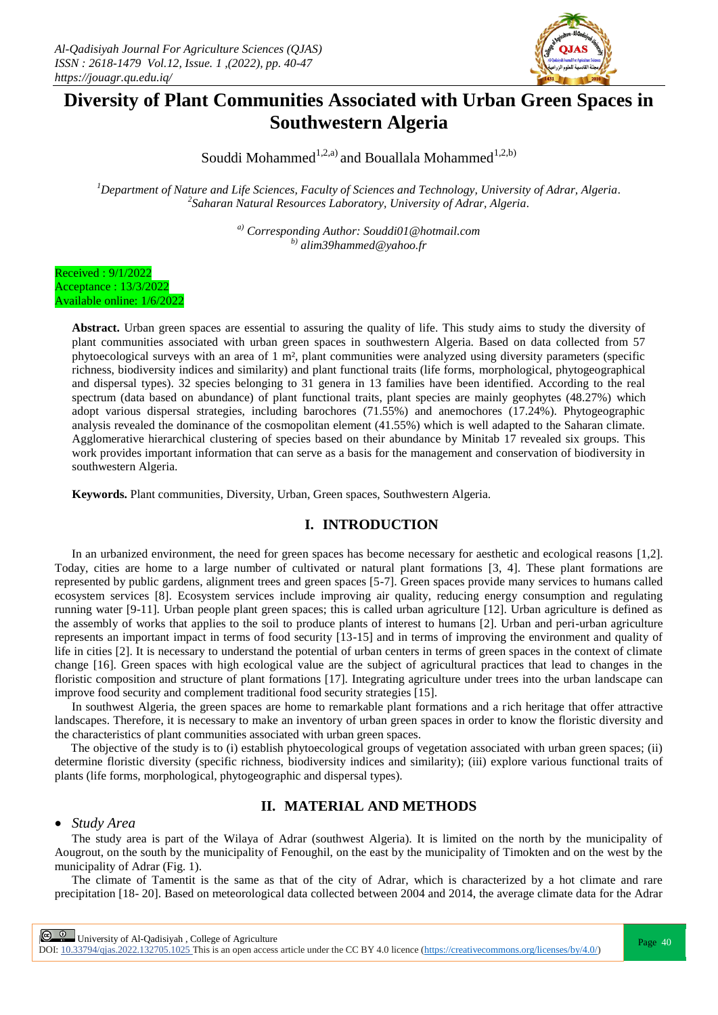

# **Diversity of Plant Communities Associated with Urban Green Spaces in Southwestern Algeria**

Souddi Mohammed<sup>1,2,a)</sup> and Bouallala Mohammed<sup>1,2,b)</sup>

*<sup>1</sup>Department of Nature and Life Sciences, Faculty of Sciences and Technology, University of Adrar, Algeria. 2 Saharan Natural Resources Laboratory, University of Adrar, Algeria.*

> *a) Corresponding Author: Souddi01@hotmail.com b) alim39hammed@yahoo.fr*

Received : 9/1/2022 Acceptance : 13/3/2022 Available online: 1/6/2022

> **Abstract.** Urban green spaces are essential to assuring the quality of life. This study aims to study the diversity of plant communities associated with urban green spaces in southwestern Algeria. Based on data collected from 57 phytoecological surveys with an area of 1 m², plant communities were analyzed using diversity parameters (specific richness, biodiversity indices and similarity) and plant functional traits (life forms, morphological, phytogeographical and dispersal types). 32 species belonging to 31 genera in 13 families have been identified. According to the real spectrum (data based on abundance) of plant functional traits, plant species are mainly geophytes (48.27%) which adopt various dispersal strategies, including barochores (71.55%) and anemochores (17.24%). Phytogeographic analysis revealed the dominance of the cosmopolitan element (41.55%) which is well adapted to the Saharan climate. Agglomerative hierarchical clustering of species based on their abundance by Minitab 17 revealed six groups. This work provides important information that can serve as a basis for the management and conservation of biodiversity in southwestern Algeria.

**Keywords.** Plant communities, Diversity, Urban, Green spaces, Southwestern Algeria.

# **I. INTRODUCTION**

In an urbanized environment, the need for green spaces has become necessary for aesthetic and ecological reasons [1,2]. Today, cities are home to a large number of cultivated or natural plant formations [3, 4]. These plant formations are represented by public gardens, alignment trees and green spaces [5-7]. Green spaces provide many services to humans called ecosystem services [8]. Ecosystem services include improving air quality, reducing energy consumption and regulating running water [9-11]. Urban people plant green spaces; this is called urban agriculture [12]. Urban agriculture is defined as the assembly of works that applies to the soil to produce plants of interest to humans [2]. Urban and peri-urban agriculture represents an important impact in terms of food security [13-15] and in terms of improving the environment and quality of life in cities [2]. It is necessary to understand the potential of urban centers in terms of green spaces in the context of climate change [16]. Green spaces with high ecological value are the subject of agricultural practices that lead to changes in the floristic composition and structure of plant formations [17]. Integrating agriculture under trees into the urban landscape can improve food security and complement traditional food security strategies [15].

In southwest Algeria, the green spaces are home to remarkable plant formations and a rich heritage that offer attractive landscapes. Therefore, it is necessary to make an inventory of urban green spaces in order to know the floristic diversity and the characteristics of plant communities associated with urban green spaces.

The objective of the study is to (i) establish phytoecological groups of vegetation associated with urban green spaces; (ii) determine floristic diversity (specific richness, biodiversity indices and similarity); (iii) explore various functional traits of plants (life forms, morphological, phytogeographic and dispersal types).

# **II. MATERIAL AND METHODS**

#### *Study Area*

The study area is part of the Wilaya of Adrar (southwest Algeria). It is limited on the north by the municipality of Aougrout, on the south by the municipality of Fenoughil, on the east by the municipality of Timokten and on the west by the municipality of Adrar (Fig. 1).

The climate of Tamentit is the same as that of the city of Adrar, which is characterized by a hot climate and rare precipitation [18- 20]. Based on meteorological data collected between 2004 and 2014, the average climate data for the Adrar

**Page 40** University of Al-Qadisiyah, College of Agriculture Page 40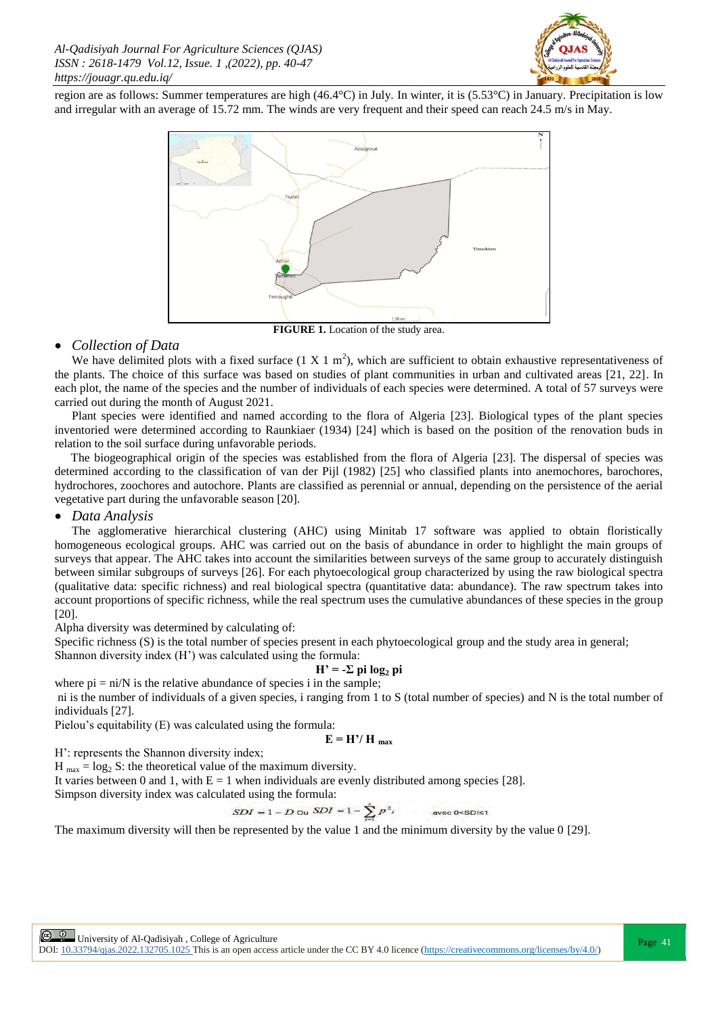

region are as follows: Summer temperatures are high (46.4°C) in July. In winter, it is (5.53°C) in January. Precipitation is low and irregular with an average of 15.72 mm. The winds are very frequent and their speed can reach 24.5 m/s in May.



**FIGURE 1.** Location of the study area.

#### *Collection of Data*

We have delimited plots with a fixed surface  $(1 \times 1 \text{ m}^2)$ , which are sufficient to obtain exhaustive representativeness of the plants. The choice of this surface was based on studies of plant communities in urban and cultivated areas [21, 22]. In each plot, the name of the species and the number of individuals of each species were determined. A total of 57 surveys were carried out during the month of August 2021.

Plant species were identified and named according to the flora of Algeria [23]. Biological types of the plant species inventoried were determined according to Raunkiaer (1934) [24] which is based on the position of the renovation buds in relation to the soil surface during unfavorable periods.

The biogeographical origin of the species was established from the flora of Algeria [23]. The dispersal of species was determined according to the classification of van der Pijl (1982) [25] who classified plants into anemochores, barochores, hydrochores, zoochores and autochore. Plants are classified as perennial or annual, depending on the persistence of the aerial vegetative part during the unfavorable season [20].

## *Data Analysis*

The agglomerative hierarchical clustering (AHC) using Minitab 17 software was applied to obtain floristically homogeneous ecological groups. AHC was carried out on the basis of abundance in order to highlight the main groups of surveys that appear. The AHC takes into account the similarities between surveys of the same group to accurately distinguish between similar subgroups of surveys [26]. For each phytoecological group characterized by using the raw biological spectra (qualitative data: specific richness) and real biological spectra (quantitative data: abundance). The raw spectrum takes into account proportions of specific richness, while the real spectrum uses the cumulative abundances of these species in the group [20].

Alpha diversity was determined by calculating of:

Specific richness (S) is the total number of species present in each phytoecological group and the study area in general;

Shannon diversity index (H') was calculated using the formula:  $H' = -\sum$  pi  $\log_2$  pi

where 
$$
\pi
$$
 = ni/N is the relative abundance of species i in the sample;

ni is the number of individuals of a given species, i ranging from 1 to S (total number of species) and N is the total number of individuals [27].

Pielou's equitability (E) was calculated using the formula:

$$
E = H'/H_{max}
$$

H': represents the Shannon diversity index;

H  $_{\text{max}} = \log_2 S$ : the theoretical value of the maximum diversity.

It varies between 0 and 1, with  $E = 1$  when individuals are evenly distributed among species [28].

Simpson diversity index was calculated using the formula:

$$
SDI = 1 - D \text{ ou } SDI = 1 - \sum_{i=1}^{s} p^2
$$
 avec 0

The maximum diversity will then be represented by the value 1 and the minimum diversity by the value 0 [29].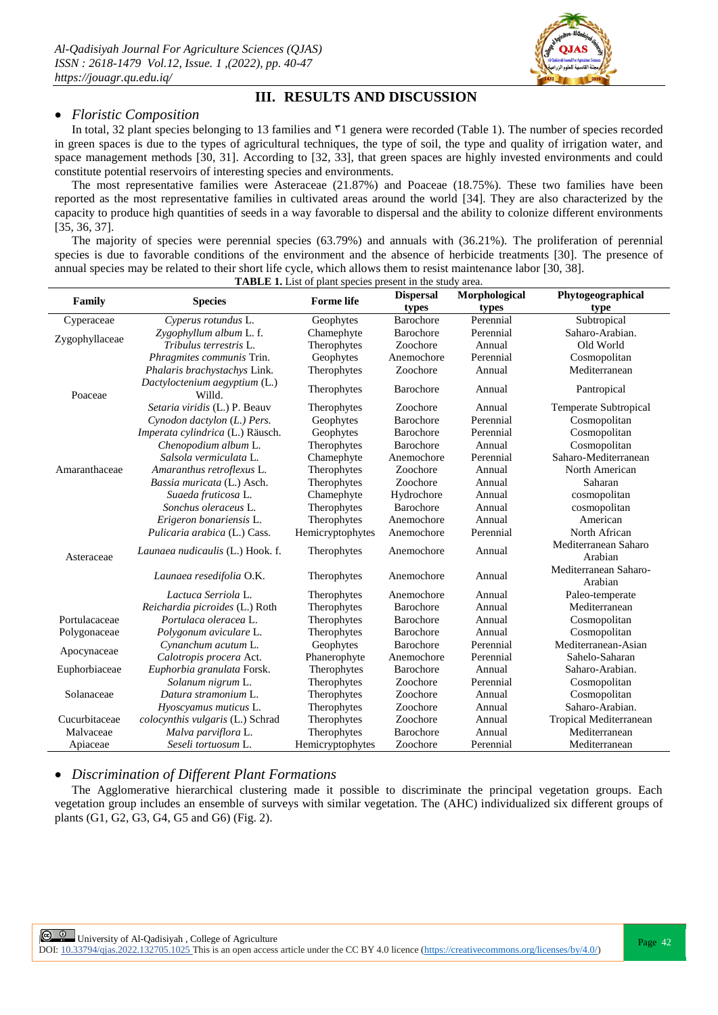

# **III. RESULTS AND DISCUSSION**

### *Floristic Composition*

In total, 32 plant species belonging to 13 families and  $\overline{v}1$  genera were recorded (Table 1). The number of species recorded in green spaces is due to the types of agricultural techniques, the type of soil, the type and quality of irrigation water, and space management methods [30, 31]. According to [32, 33], that green spaces are highly invested environments and could constitute potential reservoirs of interesting species and environments.

The most representative families were Asteraceae (21.87%) and Poaceae (18.75%). These two families have been reported as the most representative families in cultivated areas around the world [34]. They are also characterized by the capacity to produce high quantities of seeds in a way favorable to dispersal and the ability to colonize different environments [35, 36, 37].

The majority of species were perennial species (63.79%) and annuals with (36.21%). The proliferation of perennial species is due to favorable conditions of the environment and the absence of herbicide treatments [30]. The presence of annual species may be related to their short life cycle, which allows them to resist maintenance labor [30, 38].

| <b>TABLE 1.</b> List of plant species present in the study area. |                                         |                                   |                      |                 |                                  |  |  |  |  |  |  |
|------------------------------------------------------------------|-----------------------------------------|-----------------------------------|----------------------|-----------------|----------------------------------|--|--|--|--|--|--|
|                                                                  | <b>Species</b>                          | <b>Forme</b> life                 | <b>Dispersal</b>     | Morphological   | Phytogeographical                |  |  |  |  |  |  |
| Family                                                           |                                         |                                   | types                | types           | type                             |  |  |  |  |  |  |
| Cyperaceae                                                       | Cyperus rotundus L.                     | Geophytes                         | Barochore            | Perennial       | Subtropical                      |  |  |  |  |  |  |
| Zygophyllaceae                                                   | Zygophyllum album L. f.                 | Chamephyte                        | Barochore            | Perennial       | Saharo-Arabian.                  |  |  |  |  |  |  |
|                                                                  | Tribulus terrestris L.                  | Therophytes                       | Zoochore             | Annual          | Old World                        |  |  |  |  |  |  |
|                                                                  | <i>Phragmites communis</i> Trin.        | Geophytes                         | Anemochore           | Perennial       | Cosmopolitan                     |  |  |  |  |  |  |
| Poaceae<br>Amaranthaceae                                         | Phalaris brachystachys Link.            | Therophytes                       | Zoochore             | Annual          | Mediterranean                    |  |  |  |  |  |  |
|                                                                  | Dactyloctenium aegyptium (L.)<br>Willd. | Therophytes                       | Barochore            | Annual          | Pantropical                      |  |  |  |  |  |  |
|                                                                  | Setaria viridis (L.) P. Beauv           | Therophytes                       | Zoochore             | Annual          | Temperate Subtropical            |  |  |  |  |  |  |
|                                                                  | Cynodon dactylon (L.) Pers.             | Geophytes                         | Barochore            | Perennial       | Cosmopolitan                     |  |  |  |  |  |  |
|                                                                  | Imperata cylindrica (L.) Räusch.        | Geophytes                         | Barochore            | Perennial       | Cosmopolitan                     |  |  |  |  |  |  |
|                                                                  | Chenopodium album L.                    | Therophytes                       | Barochore            | Annual          | Cosmopolitan                     |  |  |  |  |  |  |
|                                                                  | Salsola vermiculata L.                  | Chamephyte                        | Anemochore           | Perennial       | Saharo-Mediterranean             |  |  |  |  |  |  |
|                                                                  | Amaranthus retroflexus L.               | Therophytes                       | Zoochore             | Annual          | North American                   |  |  |  |  |  |  |
|                                                                  | Bassia muricata (L.) Asch.              | Therophytes                       | Zoochore             | Annual          | Saharan                          |  |  |  |  |  |  |
|                                                                  | Suaeda fruticosa L.                     | Chamephyte                        | Hydrochore           | Annual          | cosmopolitan                     |  |  |  |  |  |  |
|                                                                  | Sonchus oleraceus L.                    | Therophytes                       | Barochore            | Annual          | cosmopolitan                     |  |  |  |  |  |  |
|                                                                  | Erigeron bonariensis L.                 | Therophytes                       | Anemochore           | Annual          | American                         |  |  |  |  |  |  |
| Asteraceae                                                       | Pulicaria arabica (L.) Cass.            | Hemicryptophytes                  | Anemochore           | Perennial       | North African                    |  |  |  |  |  |  |
|                                                                  | Launaea nudicaulis (L.) Hook. f.        | Therophytes                       | Anemochore<br>Annual |                 | Mediterranean Saharo<br>Arabian  |  |  |  |  |  |  |
|                                                                  | Launaea resedifolia O.K.                | Therophytes                       | Anemochore<br>Annual |                 | Mediterranean Saharo-<br>Arabian |  |  |  |  |  |  |
|                                                                  | Lactuca Serriola L.                     | Therophytes                       | Anemochore           | Annual          | Paleo-temperate                  |  |  |  |  |  |  |
|                                                                  | Reichardia picroides (L.) Roth          | Therophytes                       | Barochore            | Annual          | Mediterranean                    |  |  |  |  |  |  |
| Portulacaceae                                                    | Portulaca oleracea L.                   | Therophytes                       | Barochore            | Annual          | Cosmopolitan                     |  |  |  |  |  |  |
| Polygonaceae                                                     | Polygonum aviculare L.                  | Therophytes                       | Barochore            | Annual          | Cosmopolitan                     |  |  |  |  |  |  |
| Apocynaceae                                                      | Cynanchum acutum L.                     | Geophytes                         | Barochore            | Perennial       | Mediterranean-Asian              |  |  |  |  |  |  |
|                                                                  | Calotropis procera Act.                 | Phanerophyte                      | Anemochore           | Perennial       | Sahelo-Saharan                   |  |  |  |  |  |  |
| Euphorbiaceae                                                    | Euphorbia granulata Forsk.              | Therophytes                       | Barochore            | Annual          | Saharo-Arabian.                  |  |  |  |  |  |  |
|                                                                  | Solanum nigrum L.                       | Therophytes                       | Zoochore             | Perennial       | Cosmopolitan                     |  |  |  |  |  |  |
| Solanaceae                                                       | Datura stramonium L.                    | Therophytes                       | Zoochore             | Annual          | Cosmopolitan                     |  |  |  |  |  |  |
|                                                                  | Hyoscyamus muticus L.                   | Zoochore<br>Therophytes<br>Annual |                      | Saharo-Arabian. |                                  |  |  |  |  |  |  |
| Cucurbitaceae                                                    | colocynthis vulgaris (L.) Schrad        | Therophytes                       | Zoochore             | Annual          | Tropical Mediterranean           |  |  |  |  |  |  |
| Malvaceae                                                        | Malva parviflora L.                     | Therophytes                       | Barochore            | Annual          | Mediterranean                    |  |  |  |  |  |  |
| Apiaceae                                                         | Seseli tortuosum L.                     | Hemicryptophytes                  | Zoochore             | Perennial       | Mediterranean                    |  |  |  |  |  |  |

*Discrimination of Different Plant Formations*

The Agglomerative hierarchical clustering made it possible to discriminate the principal vegetation groups. Each vegetation group includes an ensemble of surveys with similar vegetation. The (AHC) individualized six different groups of plants (G1, G2, G3, G4, G5 and G6) (Fig. 2).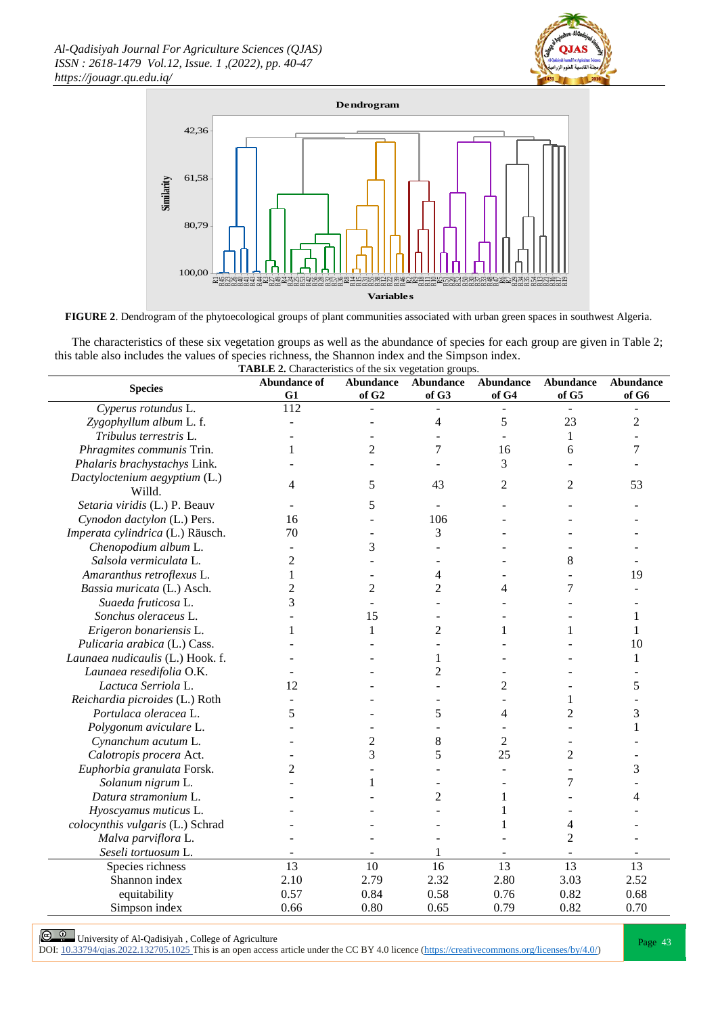



**FIGURE 2**. Dendrogram of the phytoecological groups of plant communities associated with urban green spaces in southwest Algeria.

The characteristics of these six vegetation groups as well as the abundance of species for each group are given in Table 2; this table also includes the values of species richness, the Shannon index and the Simpson index.

| <b>TABLE 2.</b> Characteristics of the six vegetation groups.<br><b>Abundance</b><br><b>Abundance</b><br><b>Abundance</b><br><b>Abundance of</b><br>Abundance<br><b>Abundance</b> |                 |                   |                |                 |                |                 |  |  |  |  |  |
|-----------------------------------------------------------------------------------------------------------------------------------------------------------------------------------|-----------------|-------------------|----------------|-----------------|----------------|-----------------|--|--|--|--|--|
| <b>Species</b>                                                                                                                                                                    | G1              | of G <sub>2</sub> | of G3          | of G4           | of G5          | of G6           |  |  |  |  |  |
| Cyperus rotundus L.                                                                                                                                                               | 112             |                   |                |                 |                |                 |  |  |  |  |  |
| Zygophyllum album L. f.                                                                                                                                                           |                 |                   | $\overline{4}$ | 5               | 23             | $\overline{c}$  |  |  |  |  |  |
| Tribulus terrestris L.                                                                                                                                                            |                 |                   |                |                 | 1              |                 |  |  |  |  |  |
| Phragmites communis Trin.                                                                                                                                                         | 1               | 2                 | 7              | 16              | 6              | 7               |  |  |  |  |  |
| Phalaris brachystachys Link.                                                                                                                                                      |                 |                   |                | 3               |                |                 |  |  |  |  |  |
| Dactyloctenium aegyptium (L.)                                                                                                                                                     |                 |                   |                |                 |                |                 |  |  |  |  |  |
| Willd.                                                                                                                                                                            | 4               | 5                 | 43             | 2               | 2              | 53              |  |  |  |  |  |
| Setaria viridis (L.) P. Beauv                                                                                                                                                     |                 | 5                 |                |                 |                |                 |  |  |  |  |  |
| Cynodon dactylon (L.) Pers.                                                                                                                                                       | 16              |                   | 106            |                 |                |                 |  |  |  |  |  |
| Imperata cylindrica (L.) Räusch.                                                                                                                                                  | 70              |                   | 3              |                 |                |                 |  |  |  |  |  |
| Chenopodium album L.                                                                                                                                                              |                 | 3                 |                |                 |                |                 |  |  |  |  |  |
| Salsola vermiculata L.                                                                                                                                                            | 2               |                   |                |                 | 8              |                 |  |  |  |  |  |
| Amaranthus retroflexus L.                                                                                                                                                         | 1               |                   | 4              |                 |                | 19              |  |  |  |  |  |
| Bassia muricata (L.) Asch.                                                                                                                                                        | $\overline{c}$  | $\overline{c}$    | 2              | 4               | 7              |                 |  |  |  |  |  |
| Suaeda fruticosa L.                                                                                                                                                               | 3               |                   |                |                 |                |                 |  |  |  |  |  |
| Sonchus oleraceus L.                                                                                                                                                              |                 | 15                |                |                 |                | 1               |  |  |  |  |  |
| Erigeron bonariensis L.                                                                                                                                                           | 1               | 1                 | $\overline{2}$ | 1               | 1              | 1               |  |  |  |  |  |
| Pulicaria arabica (L.) Cass.                                                                                                                                                      |                 |                   |                |                 |                | 10              |  |  |  |  |  |
| Launaea nudicaulis (L.) Hook. f.                                                                                                                                                  |                 |                   | 1              |                 |                | 1               |  |  |  |  |  |
| Launaea resedifolia O.K.                                                                                                                                                          |                 |                   | 2              |                 |                |                 |  |  |  |  |  |
| Lactuca Serriola L.                                                                                                                                                               | 12              |                   |                | 2               |                | 5               |  |  |  |  |  |
| Reichardia picroides (L.) Roth                                                                                                                                                    |                 |                   |                |                 | 1              |                 |  |  |  |  |  |
| Portulaca oleracea L.                                                                                                                                                             | 5               |                   | 5              | 4               | $\overline{2}$ | 3               |  |  |  |  |  |
| Polygonum aviculare L.                                                                                                                                                            |                 |                   |                |                 |                | 1               |  |  |  |  |  |
| Cynanchum acutum L.                                                                                                                                                               |                 | 2                 | 8              | $\overline{2}$  |                |                 |  |  |  |  |  |
| Calotropis procera Act.                                                                                                                                                           |                 | 3                 | 5              | 25              | 2              |                 |  |  |  |  |  |
| Euphorbia granulata Forsk.                                                                                                                                                        | 2               |                   |                |                 |                | 3               |  |  |  |  |  |
| Solanum nigrum L.                                                                                                                                                                 |                 | 1                 |                |                 | 7              |                 |  |  |  |  |  |
| Datura stramonium L.                                                                                                                                                              |                 |                   | 2              | 1               |                | 4               |  |  |  |  |  |
| Hyoscyamus muticus L.                                                                                                                                                             |                 |                   |                |                 |                |                 |  |  |  |  |  |
| colocynthis vulgaris (L.) Schrad                                                                                                                                                  |                 |                   |                |                 | 4              |                 |  |  |  |  |  |
| Malva parviflora L.                                                                                                                                                               |                 |                   |                |                 | $\overline{2}$ |                 |  |  |  |  |  |
| Seseli tortuosum L.                                                                                                                                                               |                 |                   |                |                 |                |                 |  |  |  |  |  |
| Species richness                                                                                                                                                                  | $\overline{13}$ | 10                | 16             | $\overline{13}$ | 13             | $\overline{13}$ |  |  |  |  |  |
| Shannon index                                                                                                                                                                     | 2.10            | 2.79              | 2.32           | 2.80            | 3.03           | 2.52            |  |  |  |  |  |
| equitability                                                                                                                                                                      | 0.57            | 0.84              | 0.58           | 0.76            | 0.82           | 0.68            |  |  |  |  |  |
| Simpson index                                                                                                                                                                     | 0.66            | 0.80              | 0.65           | 0.79            | 0.82           | 0.70            |  |  |  |  |  |

Page 43<br>Page 43 | University of Al-Qadisiyah , College of Agriculture<br>Page 43 | 23704/circle 2002 122705 1005 This is an open seeses said a what he GO BY 4.0 listens (btt. al. of the college 43 | 23704/circle 43 | 24 | 24 DOI:  $10.33794/q$ jas.2022.132705.1025 This is an open access article under the CC BY 4.0 licence (https://creativecommons.org/licenses/by/4.0/)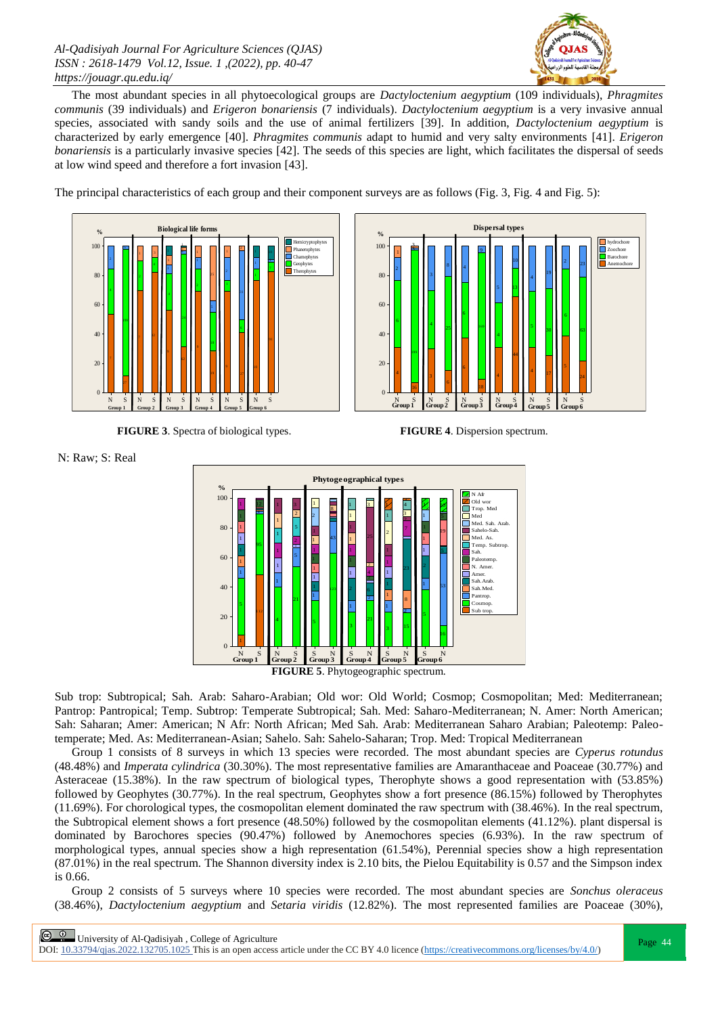

The most abundant species in all phytoecological groups are *Dactyloctenium aegyptium* (109 individuals), *Phragmites communis* (39 individuals) and *Erigeron bonariensis* (7 individuals). *Dactyloctenium aegyptium* is a very invasive annual species, associated with sandy soils and the use of animal fertilizers [39]. In addition, *Dactyloctenium aegyptium* is characterized by early emergence [40]. *Phragmites communis* adapt to humid and very salty environments [41]. *Erigeron bonariensis* is a particularly invasive species [42]. The seeds of this species are light, which facilitates the dispersal of seeds at low wind speed and therefore a fort invasion [43].

The principal characteristics of each group and their component surveys are as follows (Fig. 3, Fig. 4 and Fig. 5):



 **FIGURE 3**. Spectra of biological types. **FIGURE 4**. Dispersion spectrum.



N: Raw; S: Real



**FIGURE 5**. Phytogeographic spectrum.

Sub trop: Subtropical; Sah. Arab: Saharo-Arabian; Old wor: Old World; Cosmop; Cosmopolitan; Med: Mediterranean; Pantrop: Pantropical; Temp. Subtrop: Temperate Subtropical; Sah. Med: Saharo-Mediterranean; N. Amer: North American; Sah: Saharan; Amer: American; N Afr: North African; Med Sah. Arab: Mediterranean Saharo Arabian; Paleotemp: Paleotemperate; Med. As: Mediterranean-Asian; Sahelo. Sah: Sahelo-Saharan; Trop. Med: Tropical Mediterranean

Group 1 consists of 8 surveys in which 13 species were recorded. The most abundant species are *Cyperus rotundus* (48.48%) and *Imperata cylindrica* (30.30%). The most representative families are Amaranthaceae and Poaceae (30.77%) and Asteraceae (15.38%). In the raw spectrum of biological types, Therophyte shows a good representation with (53.85%) followed by Geophytes (30.77%). In the real spectrum, Geophytes show a fort presence (86.15%) followed by Therophytes (11.69%). For chorological types, the cosmopolitan element dominated the raw spectrum with (38.46%). In the real spectrum, the Subtropical element shows a fort presence (48.50%) followed by the cosmopolitan elements (41.12%). plant dispersal is dominated by Barochores species (90.47%) followed by Anemochores species (6.93%). In the raw spectrum of morphological types, annual species show a high representation (61.54%), Perennial species show a high representation (87.01%) in the real spectrum. The Shannon diversity index is 2.10 bits, the Pielou Equitability is 0.57 and the Simpson index is 0.66.

Group 2 consists of 5 surveys where 10 species were recorded. The most abundant species are *Sonchus oleraceus* (38.46%), *Dactyloctenium aegyptium* and *Setaria viridis* (12.82%). The most represented families are Poaceae (30%),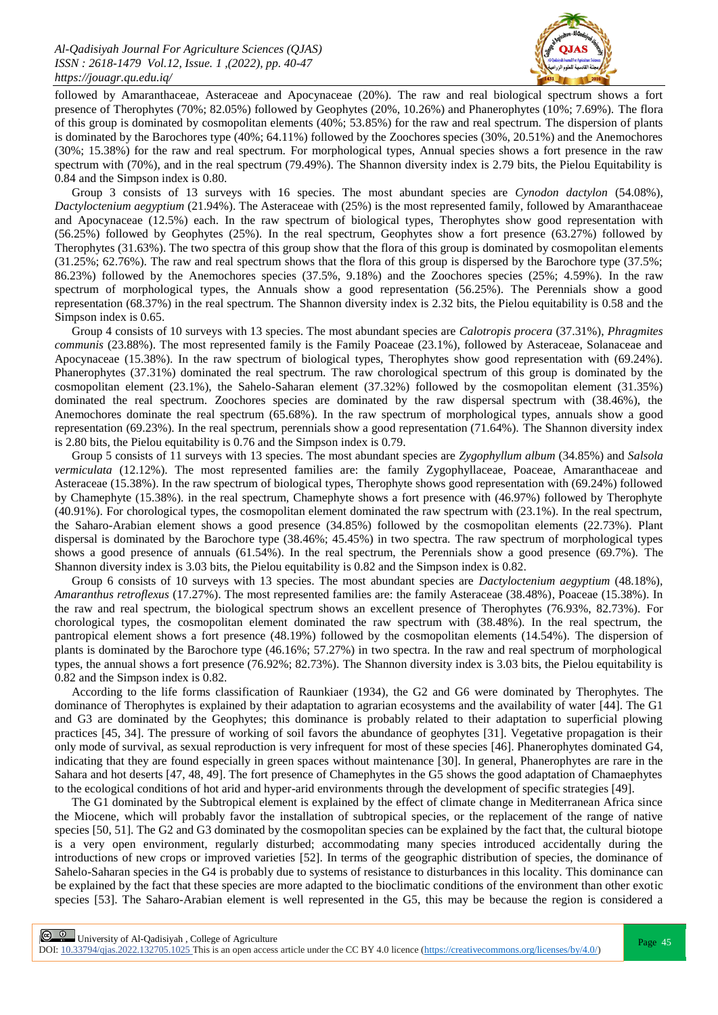

followed by Amaranthaceae, Asteraceae and Apocynaceae (20%). The raw and real biological spectrum shows a fort presence of Therophytes (70%; 82.05%) followed by Geophytes (20%, 10.26%) and Phanerophytes (10%; 7.69%). The flora of this group is dominated by cosmopolitan elements (40%; 53.85%) for the raw and real spectrum. The dispersion of plants is dominated by the Barochores type (40%; 64.11%) followed by the Zoochores species (30%, 20.51%) and the Anemochores (30%; 15.38%) for the raw and real spectrum. For morphological types, Annual species shows a fort presence in the raw spectrum with (70%), and in the real spectrum (79.49%). The Shannon diversity index is 2.79 bits, the Pielou Equitability is 0.84 and the Simpson index is 0.80.

Group 3 consists of 13 surveys with 16 species. The most abundant species are *Cynodon dactylon* (54.08%), *Dactyloctenium aegyptium* (21.94%). The Asteraceae with (25%) is the most represented family, followed by Amaranthaceae and Apocynaceae (12.5%) each. In the raw spectrum of biological types, Therophytes show good representation with (56.25%) followed by Geophytes (25%). In the real spectrum, Geophytes show a fort presence (63.27%) followed by Therophytes (31.63%). The two spectra of this group show that the flora of this group is dominated by cosmopolitan elements (31.25%; 62.76%). The raw and real spectrum shows that the flora of this group is dispersed by the Barochore type (37.5%; 86.23%) followed by the Anemochores species (37.5%, 9.18%) and the Zoochores species (25%; 4.59%). In the raw spectrum of morphological types, the Annuals show a good representation (56.25%). The Perennials show a good representation (68.37%) in the real spectrum. The Shannon diversity index is 2.32 bits, the Pielou equitability is 0.58 and the Simpson index is 0.65.

Group 4 consists of 10 surveys with 13 species. The most abundant species are *Calotropis procera* (37.31%), *Phragmites communis* (23.88%). The most represented family is the Family Poaceae (23.1%), followed by Asteraceae, Solanaceae and Apocynaceae (15.38%). In the raw spectrum of biological types, Therophytes show good representation with (69.24%). Phanerophytes (37.31%) dominated the real spectrum. The raw chorological spectrum of this group is dominated by the cosmopolitan element (23.1%), the Sahelo-Saharan element (37.32%) followed by the cosmopolitan element (31.35%) dominated the real spectrum. Zoochores species are dominated by the raw dispersal spectrum with (38.46%), the Anemochores dominate the real spectrum (65.68%). In the raw spectrum of morphological types, annuals show a good representation (69.23%). In the real spectrum, perennials show a good representation (71.64%). The Shannon diversity index is 2.80 bits, the Pielou equitability is 0.76 and the Simpson index is 0.79.

Group 5 consists of 11 surveys with 13 species. The most abundant species are *Zygophyllum album* (34.85%) and *Salsola vermiculata* (12.12%). The most represented families are: the family Zygophyllaceae, Poaceae, Amaranthaceae and Asteraceae (15.38%). In the raw spectrum of biological types, Therophyte shows good representation with (69.24%) followed by Chamephyte (15.38%). in the real spectrum, Chamephyte shows a fort presence with (46.97%) followed by Therophyte (40.91%). For chorological types, the cosmopolitan element dominated the raw spectrum with (23.1%). In the real spectrum, the Saharo-Arabian element shows a good presence (34.85%) followed by the cosmopolitan elements (22.73%). Plant dispersal is dominated by the Barochore type (38.46%; 45.45%) in two spectra. The raw spectrum of morphological types shows a good presence of annuals (61.54%). In the real spectrum, the Perennials show a good presence (69.7%). The Shannon diversity index is 3.03 bits, the Pielou equitability is 0.82 and the Simpson index is 0.82.

Group 6 consists of 10 surveys with 13 species. The most abundant species are *Dactyloctenium aegyptium* (48.18%), *Amaranthus retroflexus* (17.27%). The most represented families are: the family Asteraceae (38.48%), Poaceae (15.38%). In the raw and real spectrum, the biological spectrum shows an excellent presence of Therophytes (76.93%, 82.73%). For chorological types, the cosmopolitan element dominated the raw spectrum with (38.48%). In the real spectrum, the pantropical element shows a fort presence (48.19%) followed by the cosmopolitan elements (14.54%). The dispersion of plants is dominated by the Barochore type (46.16%; 57.27%) in two spectra. In the raw and real spectrum of morphological types, the annual shows a fort presence (76.92%; 82.73%). The Shannon diversity index is 3.03 bits, the Pielou equitability is 0.82 and the Simpson index is 0.82.

According to the life forms classification of Raunkiaer (1934), the G2 and G6 were dominated by Therophytes. The dominance of Therophytes is explained by their adaptation to agrarian ecosystems and the availability of water [44]. The G1 and G3 are dominated by the Geophytes; this dominance is probably related to their adaptation to superficial plowing practices [45, 34]. The pressure of working of soil favors the abundance of geophytes [31]. Vegetative propagation is their only mode of survival, as sexual reproduction is very infrequent for most of these species [46]. Phanerophytes dominated G4, indicating that they are found especially in green spaces without maintenance [30]. In general, Phanerophytes are rare in the Sahara and hot deserts [47, 48, 49]. The fort presence of Chamephytes in the G5 shows the good adaptation of Chamaephytes to the ecological conditions of hot arid and hyper-arid environments through the development of specific strategies [49].

The G1 dominated by the Subtropical element is explained by the effect of climate change in Mediterranean Africa since the Miocene, which will probably favor the installation of subtropical species, or the replacement of the range of native species [50, 51]. The G2 and G3 dominated by the cosmopolitan species can be explained by the fact that, the cultural biotope is a very open environment, regularly disturbed; accommodating many species introduced accidentally during the introductions of new crops or improved varieties [52]. In terms of the geographic distribution of species, the dominance of Sahelo-Saharan species in the G4 is probably due to systems of resistance to disturbances in this locality. This dominance can be explained by the fact that these species are more adapted to the bioclimatic conditions of the environment than other exotic species [53]. The Saharo-Arabian element is well represented in the G5, this may be because the region is considered a

**Page 45** University of Al-Qadisiyah, College of Agriculture Page 45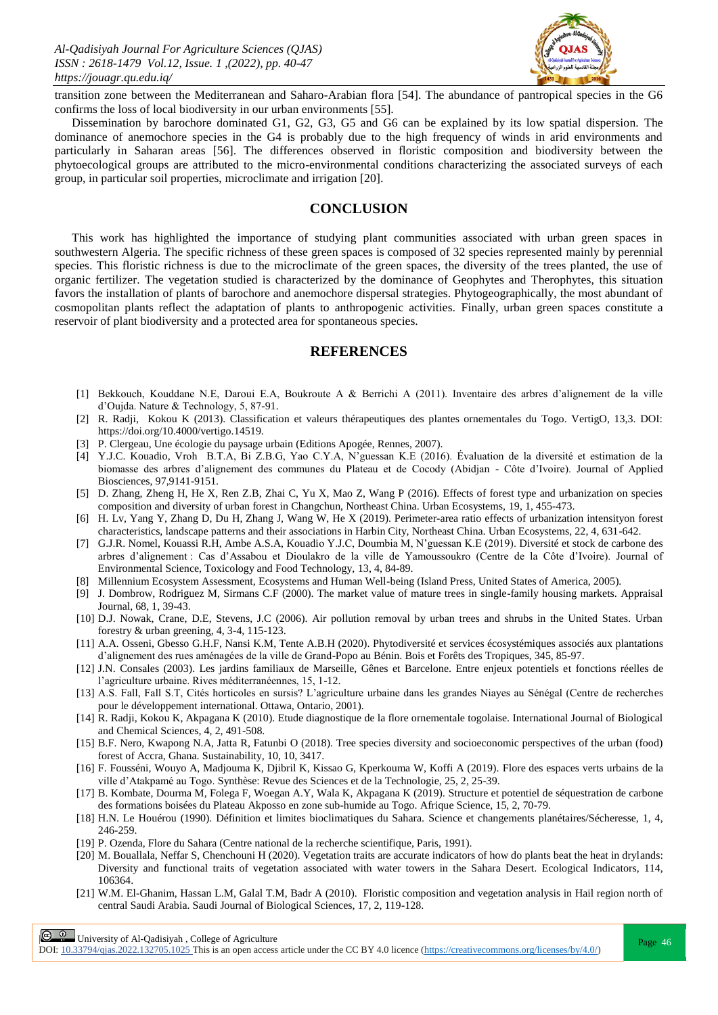

transition zone between the Mediterranean and Saharo-Arabian flora [54]. The abundance of pantropical species in the G6 confirms the loss of local biodiversity in our urban environments [55].

Dissemination by barochore dominated G1, G2, G3, G5 and G6 can be explained by its low spatial dispersion. The dominance of anemochore species in the G4 is probably due to the high frequency of winds in arid environments and particularly in Saharan areas [56]. The differences observed in floristic composition and biodiversity between the phytoecological groups are attributed to the micro-environmental conditions characterizing the associated surveys of each group, in particular soil properties, microclimate and irrigation [20].

### **CONCLUSION**

This work has highlighted the importance of studying plant communities associated with urban green spaces in southwestern Algeria. The specific richness of these green spaces is composed of 32 species represented mainly by perennial species. This floristic richness is due to the microclimate of the green spaces, the diversity of the trees planted, the use of organic fertilizer. The vegetation studied is characterized by the dominance of Geophytes and Therophytes, this situation favors the installation of plants of barochore and anemochore dispersal strategies. Phytogeographically, the most abundant of cosmopolitan plants reflect the adaptation of plants to anthropogenic activities. Finally, urban green spaces constitute a reservoir of plant biodiversity and a protected area for spontaneous species.

#### **REFERENCES**

- [1] Bekkouch, Kouddane N.E, Daroui E.A, Boukroute A & Berrichi A (2011). Inventaire des arbres d'alignement de la ville d'Oujda. Nature & Technology, 5, 87-91.
- [2] R. Radji, Kokou K (2013). Classification et valeurs thérapeutiques des plantes ornementales du Togo. VertigO, 13,3. DOI: https://doi.org/10.4000/vertigo.14519.
- [3] P. Clergeau, Une écologie du paysage urbain (Editions Apogée, Rennes, 2007).
- [4] Y.J.C. Kouadio, Vroh B.T.A, Bi Z.B.G, Yao C.Y.A, N'guessan K.E (2016). Évaluation de la diversité et estimation de la biomasse des arbres d'alignement des communes du Plateau et de Cocody (Abidjan - Côte d'Ivoire). Journal of Applied Biosciences, 97,9141-9151.
- [5] D. Zhang, Zheng H, He X, Ren Z.B, Zhai C, Yu X, Mao Z, Wang P (2016). Effects of forest type and urbanization on species composition and diversity of urban forest in Changchun, Northeast China. Urban Ecosystems, 19, 1, 455-473.
- [6] H. Lv, Yang Y, Zhang D, Du H, Zhang J, Wang W, He X (2019). Perimeter-area ratio effects of urbanization intensityon forest characteristics, landscape patterns and their associations in Harbin City, Northeast China. Urban Ecosystems, 22, 4, 631-642.
- [7] G.J.R. Nomel, Kouassi R.H, Ambe A.S.A, Kouadio Y.J.C, Doumbia M, N'guessan K.E (2019). Diversité et stock de carbone des arbres d'alignement : Cas d'Assabou et Dioulakro de la ville de Yamoussoukro (Centre de la Côte d'Ivoire). Journal of Environmental Science, Toxicology and Food Technology, 13, 4, 84-89.
- [8] Millennium Ecosystem Assessment, Ecosystems and Human Well-being (Island Press, United States of America, 2005).
- [9] J. Dombrow, Rodriguez M, Sirmans C.F (2000). The market value of mature trees in single-family housing markets. Appraisal Journal, 68, 1, 39-43.
- [10] D.J. Nowak, Crane, D.E, Stevens, J.C (2006). Air pollution removal by urban trees and shrubs in the United States. Urban forestry & urban greening, 4, 3-4, 115-123.
- [11] A.A. Osseni, Gbesso G.H.F, Nansi K.M, Tente A.B.H (2020). Phytodiversité et services écosystémiques associés aux plantations d'alignement des rues aménagées de la ville de Grand-Popo au Bénin. Bois et Forêts des Tropiques, 345, 85-97.
- [12] J.N. Consales (2003). Les jardins familiaux de Marseille, Gênes et Barcelone. Entre enjeux potentiels et fonctions réelles de l'agriculture urbaine. Rives méditerranéennes, 15, 1-12.
- [13] A.S. Fall, Fall S.T, Cités horticoles en sursis? L'agriculture urbaine dans les grandes Niayes au Sénégal (Centre de recherches pour le développement international. Ottawa, Ontario, 2001).
- [14] R. Radji, Kokou K, Akpagana K (2010). Etude diagnostique de la flore ornementale togolaise. International Journal of Biological and Chemical Sciences, 4, 2, 491-508.
- [15] B.F. Nero, Kwapong N.A, Jatta R, Fatunbi O (2018). Tree species diversity and socioeconomic perspectives of the urban (food) forest of Accra, Ghana. Sustainability, 10, 10, 3417.
- [16] F. Fousséni, Wouyo A, Madjouma K, Djibril K, Kissao G, Kperkouma W, Koffi A (2019). Flore des espaces verts urbains de la ville d'Atakpamé au Togo. Synthèse: Revue des Sciences et de la Technologie, 25, 2, 25-39.
- [17] B. Kombate, Dourma M, Folega F, Woegan A.Y, Wala K, Akpagana K (2019). Structure et potentiel de séquestration de carbone des formations boisées du Plateau Akposso en zone sub-humide au Togo. Afrique Science, 15, 2, 70-79.
- [18] H.N. Le Houérou (1990). Définition et limites bioclimatiques du Sahara. Science et changements planétaires/Sécheresse, 1, 4, 246-259.
- [19] P. Ozenda, Flore du Sahara (Centre national de la recherche scientifique, Paris, 1991).
- [20] M. Bouallala, Neffar S, Chenchouni H (2020). Vegetation traits are accurate indicators of how do plants beat the heat in drylands: Diversity and functional traits of vegetation associated with water towers in the Sahara Desert. Ecological Indicators, 114, 106364.
- [21] W.M. El-Ghanim, Hassan L.M, Galal T.M, Badr A (2010). Floristic composition and vegetation analysis in Hail region north of central Saudi Arabia. Saudi Journal of Biological Sciences, 17, 2, 119-128.

 $\boxed{\odot}$   $\odot$  University of Al-Qadisiyah, College of Agriculture